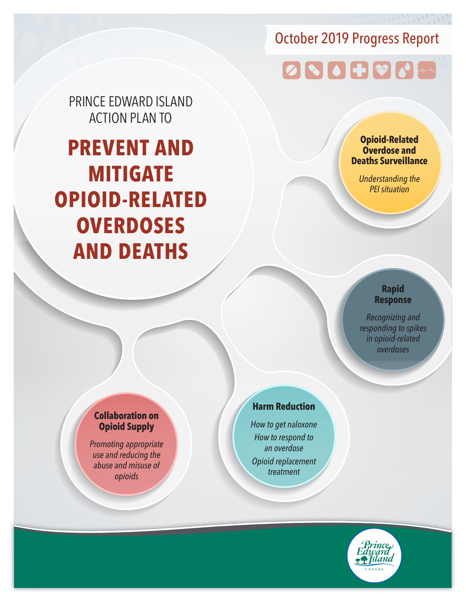# October 2019 Progress Report

# 0800000

PRINCE EDWARD ISLAND ACTION PLAN TO

**PREVENT AND MITIGATE OPIOID-RELATED OVERDOSES AND DEATHS**

#### **Opioid-Related Overdose and Deaths Surveillance**

*Understanding the PEI situation*

#### **Rapid Response**

*Recognizing and responding to spikes in opioid-related overdoses*

#### **Collaboration on Opioid Supply**

*Promoting appropriate use and reducing the abuse and misuse of opioids*

#### **Harm Reduction**

*How to get naloxone How to respond to an overdose Opioid replacement treatment*